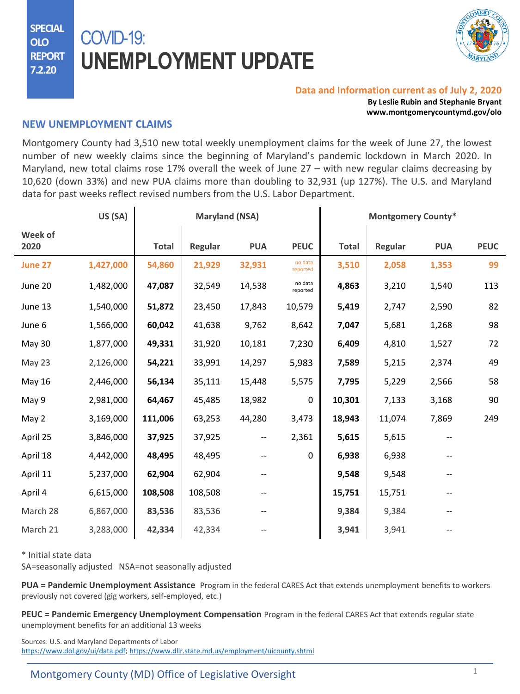**SPECIAL OLO REPORT 7.2.20**

# COVID-19: **UNEMPLOYMENT UPDATE**



#### **Data and Information current as of July 2, 2020**

**By Leslie Rubin and Stephanie Bryant www.montgomerycountymd.gov/olo**

#### **NEW UNEMPLOYMENT CLAIMS**

Montgomery County had 3,510 new total weekly unemployment claims for the week of June 27, the lowest number of new weekly claims since the beginning of Maryland's pandemic lockdown in March 2020. In Maryland, new total claims rose 17% overall the week of June 27 – with new regular claims decreasing by 10,620 (down 33%) and new PUA claims more than doubling to 32,931 (up 127%). The U.S. and Maryland data for past weeks reflect revised numbers from the U.S. Labor Department.

|                 | US (SA)   |              | <b>Maryland (NSA)</b> |                          |                     |              | <b>Montgomery County*</b> |            |             |
|-----------------|-----------|--------------|-----------------------|--------------------------|---------------------|--------------|---------------------------|------------|-------------|
| Week of<br>2020 |           | <b>Total</b> | Regular               | <b>PUA</b>               | <b>PEUC</b>         | <b>Total</b> | Regular                   | <b>PUA</b> | <b>PEUC</b> |
| June 27         | 1,427,000 | 54,860       | 21,929                | 32,931                   | no data<br>reported | 3,510        | 2,058                     | 1,353      | 99          |
| June 20         | 1,482,000 | 47,087       | 32,549                | 14,538                   | no data<br>reported | 4,863        | 3,210                     | 1,540      | 113         |
| June 13         | 1,540,000 | 51,872       | 23,450                | 17,843                   | 10,579              | 5,419        | 2,747                     | 2,590      | 82          |
| June 6          | 1,566,000 | 60,042       | 41,638                | 9,762                    | 8,642               | 7,047        | 5,681                     | 1,268      | 98          |
| May 30          | 1,877,000 | 49,331       | 31,920                | 10,181                   | 7,230               | 6,409        | 4,810                     | 1,527      | 72          |
| May 23          | 2,126,000 | 54,221       | 33,991                | 14,297                   | 5,983               | 7,589        | 5,215                     | 2,374      | 49          |
| May 16          | 2,446,000 | 56,134       | 35,111                | 15,448                   | 5,575               | 7,795        | 5,229                     | 2,566      | 58          |
| May 9           | 2,981,000 | 64,467       | 45,485                | 18,982                   | 0                   | 10,301       | 7,133                     | 3,168      | 90          |
| May 2           | 3,169,000 | 111,006      | 63,253                | 44,280                   | 3,473               | 18,943       | 11,074                    | 7,869      | 249         |
| April 25        | 3,846,000 | 37,925       | 37,925                | $\overline{\phantom{a}}$ | 2,361               | 5,615        | 5,615                     |            |             |
| April 18        | 4,442,000 | 48,495       | 48,495                |                          | 0                   | 6,938        | 6,938                     |            |             |
| April 11        | 5,237,000 | 62,904       | 62,904                |                          |                     | 9,548        | 9,548                     |            |             |
| April 4         | 6,615,000 | 108,508      | 108,508               |                          |                     | 15,751       | 15,751                    |            |             |
| March 28        | 6,867,000 | 83,536       | 83,536                |                          |                     | 9,384        | 9,384                     |            |             |
| March 21        | 3,283,000 | 42,334       | 42,334                |                          |                     | 3,941        | 3,941                     |            |             |

\* Initial state data

SA=seasonally adjusted NSA=not seasonally adjusted

**PUA = Pandemic Unemployment Assistance** Program in the federal CARES Act that extends unemployment benefits to workers previously not covered (gig workers, self-employed, etc.)

**PEUC = Pandemic Emergency Unemployment Compensation** Program in the federal CARES Act that extends regular state unemployment benefits for an additional 13 weeks

Sources: U.S. and Maryland Departments of Labor <https://www.dol.gov/ui/data.pdf>; <https://www.dllr.state.md.us/employment/uicounty.shtml>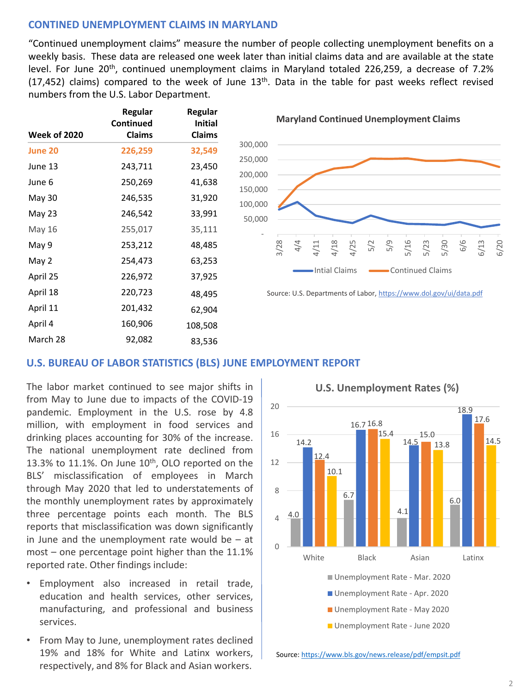# **CONTINED UNEMPLOYMENT CLAIMS IN MARYLAND**

"Continued unemployment claims" measure the number of people collecting unemployment benefits on a weekly basis. These data are released one week later than initial claims data and are available at the state level. For June 20<sup>th</sup>, continued unemployment claims in Maryland totaled 226,259, a decrease of 7.2%  $(17,452)$  claims) compared to the week of June  $13<sup>th</sup>$ . Data in the table for past weeks reflect revised numbers from the U.S. Labor Department.

| <b>Week of 2020</b> | Regular<br>Continued<br><b>Claims</b> | Regular<br><b>Initial</b><br><b>Claims</b> |
|---------------------|---------------------------------------|--------------------------------------------|
| <b>June 20</b>      | 226,259                               | 32,549                                     |
| June 13             | 243,711                               | 23,450                                     |
| June 6              | 250,269                               | 41,638                                     |
| May 30              | 246,535                               | 31,920                                     |
| May 23              | 246,542                               | 33,991                                     |
| May 16              | 255,017                               | 35,111                                     |
| May 9               | 253,212                               | 48,485                                     |
| May 2               | 254,473                               | 63,253                                     |
| April 25            | 226,972                               | 37,925                                     |
| April 18            | 220,723                               | 48,495                                     |
| April 11            | 201,432                               | 62,904                                     |
| April 4             | 160,906                               | 108,508                                    |
| March 28            | 92,082                                | 83,536                                     |

**Maryland Continued Unemployment Claims**



Source: U.S. Departments of Labor,<https://www.dol.gov/ui/data.pdf>

## **U.S. BUREAU OF LABOR STATISTICS (BLS) JUNE EMPLOYMENT REPORT**

The labor market continued to see major shifts in from May to June due to impacts of the COVID-19 pandemic. Employment in the U.S. rose by 4.8 million, with employment in food services and drinking places accounting for 30% of the increase. The national unemployment rate declined from 13.3% to 11.1%. On June  $10<sup>th</sup>$ , OLO reported on the BLS' misclassification of employees in March through May 2020 that led to [understatements](https://www.dllr.state.md.us/employment/clmtguide/uiclmtpamphlet.pdf) of the monthly unemployment rates by approximately three percentage points each month. The BLS reports that misclassification was down significantly in June and the [unemployment](https://www.dllr.state.md.us/employment/uicovidaswfaqs.shtml) rate would be  $-$  at most – one percentage point higher than the 11.1% reported rate. Other findings include:

- Employment also increased in retail trade, education and health services, other services, manufacturing, and professional and business services.
- From May to June, unemployment rates declined 19% and 18% for White and Latinx workers, respectively, and 8% for Black and Asian workers.



Source: <https://www.bls.gov/news.release/pdf/empsit.pdf>